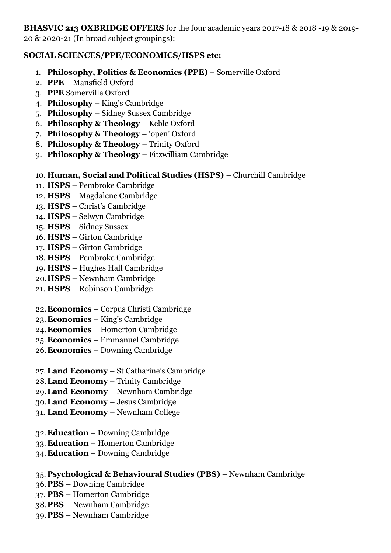**BHASVIC 213 OXBRIDGE OFFERS** for the four academic years 2017-18 & 2018 -19 & 2019- 20 & 2020-21 (In broad subject groupings):

## **SOCIAL SCIENCES/PPE/ECONOMICS/HSPS etc:**

- 1. **Philosophy, Politics & Economics (PPE)** Somerville Oxford
- 2. **PPE**  Mansfield Oxford
- 3. **PPE** Somerville Oxford
- 4. **Philosophy** King's Cambridge
- 5. **Philosophy**  Sidney Sussex Cambridge
- 6. **Philosophy & Theology** Keble Oxford
- 7. **Philosophy & Theology** 'open' Oxford
- 8. **Philosophy & Theology** Trinity Oxford
- 9. **Philosophy & Theology**  Fitzwilliam Cambridge

# 10. **Human, Social and Political Studies (HSPS)** – Churchill Cambridge

- 11. **HSPS** Pembroke Cambridge
- 12. **HSPS** Magdalene Cambridge
- 13. **HSPS** Christ's Cambridge
- 14. **HSPS** Selwyn Cambridge
- 15. **HSPS**  Sidney Sussex
- 16. **HSPS** Girton Cambridge
- 17. **HSPS** Girton Cambridge
- 18. **HSPS**  Pembroke Cambridge
- 19. **HSPS**  Hughes Hall Cambridge
- 20.**HSPS**  Newnham Cambridge
- 21. **HSPS**  Robinson Cambridge
- 22.**Economics** Corpus Christi Cambridge
- 23.**Economics**  King's Cambridge
- 24.**Economics**  Homerton Cambridge
- 25. **Economics** Emmanuel Cambridge
- 26.**Economics** Downing Cambridge
- 27.**Land Economy** St Catharine's Cambridge
- 28.**Land Economy** Trinity Cambridge
- 29.**Land Economy** Newnham Cambridge
- 30.**Land Economy**  Jesus Cambridge
- 31. **Land Economy**  Newnham College
- 32.**Education** Downing Cambridge
- 33.**Education**  Homerton Cambridge
- 34.**Education** Downing Cambridge

# 35. **Psychological & Behavioural Studies (PBS)** – Newnham Cambridge

- 36.**PBS**  Downing Cambridge
- 37. **PBS** Homerton Cambridge
- 38.**PBS**  Newnham Cambridge
- 39.**PBS** Newnham Cambridge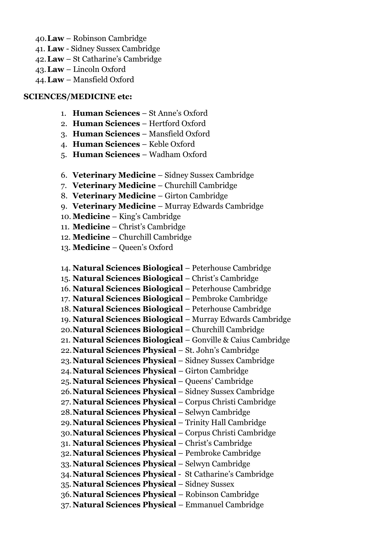- 40.**Law** Robinson Cambridge
- 41. **Law**  Sidney Sussex Cambridge
- 42.**Law** St Catharine's Cambridge
- 43.**Law**  Lincoln Oxford
- 44.**Law**  Mansfield Oxford

### **SCIENCES/MEDICINE etc:**

- 1. **Human Sciences** St Anne's Oxford
- 2. **Human Sciences** Hertford Oxford
- 3. **Human Sciences** Mansfield Oxford
- 4. **Human Sciences** Keble Oxford
- 5. **Human Sciences**  Wadham Oxford
- 6. **Veterinary Medicine** Sidney Sussex Cambridge
- 7. **Veterinary Medicine** Churchill Cambridge
- 8. **Veterinary Medicine**  Girton Cambridge
- 9. **Veterinary Medicine**  Murray Edwards Cambridge
- 10. **Medicine** King's Cambridge
- 11. **Medicine** Christ's Cambridge
- 12. **Medicine**  Churchill Cambridge
- 13. **Medicine**  Queen's Oxford
- 14. **Natural Sciences Biological** Peterhouse Cambridge
- 15. **Natural Sciences Biological** Christ's Cambridge
- 16. **Natural Sciences Biological** Peterhouse Cambridge
- 17. **Natural Sciences Biological** Pembroke Cambridge
- 18. **Natural Sciences Biological** Peterhouse Cambridge
- 19. **Natural Sciences Biological**  Murray Edwards Cambridge
- 20.**Natural Sciences Biological** Churchill Cambridge
- 21. **Natural Sciences Biological**  Gonville & Caius Cambridge
- 22.**Natural Sciences Physical** St. John's Cambridge
- 23.**Natural Sciences Physical** Sidney Sussex Cambridge
- 24.**Natural Sciences Physical**  Girton Cambridge
- 25. **Natural Sciences Physical** Queens' Cambridge
- 26.**Natural Sciences Physical** Sidney Sussex Cambridge
- 27. **Natural Sciences Physical** Corpus Christi Cambridge
- 28.**Natural Sciences Physical** Selwyn Cambridge
- 29.**Natural Sciences Physical** Trinity Hall Cambridge
- 30.**Natural Sciences Physical** Corpus Christi Cambridge
- 31. **Natural Sciences Physical** Christ's Cambridge
- 32.**Natural Sciences Physical** Pembroke Cambridge
- 33.**Natural Sciences Physical** Selwyn Cambridge
- 34.**Natural Sciences Physical** St Catharine's Cambridge
- 35. **Natural Sciences Physical** Sidney Sussex
- 36.**Natural Sciences Physical**  Robinson Cambridge
- 37. **Natural Sciences Physical**  Emmanuel Cambridge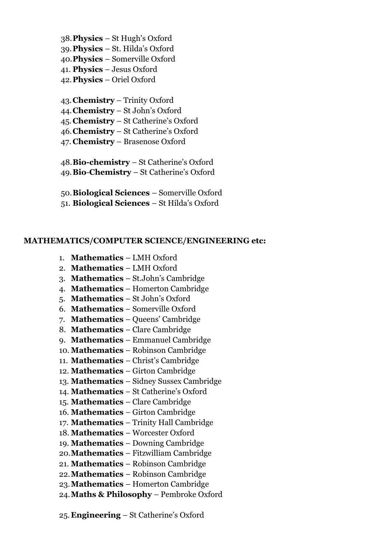- 38.**Physics**  St Hugh's Oxford
- 39.**Physics**  St. Hilda's Oxford
- 40.**Physics**  Somerville Oxford
- 41. **Physics** Jesus Oxford
- 42.**Physics** Oriel Oxford
- 43.**Chemistry** Trinity Oxford
- 44.**Chemistry** St John's Oxford
- 45.**Chemistry**  St Catherine's Oxford
- 46.**Chemistry**  St Catherine's Oxford
- 47. **Chemistry**  Brasenose Oxford
- 48.**Bio-chemistry** St Catherine's Oxford
- 49.**Bio**-**Chemistry** St Catherine's Oxford
- 50.**Biological Sciences**  Somerville Oxford
- 51. **Biological Sciences**  St Hilda's Oxford

#### **MATHEMATICS/COMPUTER SCIENCE/ENGINEERING etc:**

- 1. **Mathematics**  LMH Oxford
- 2. **Mathematics**  LMH Oxford
- 3. **Mathematics**  St.John's Cambridge
- 4. **Mathematics** Homerton Cambridge
- 5. **Mathematics** St John's Oxford
- 6. **Mathematics** Somerville Oxford
- 7. **Mathematics**  Queens' Cambridge
- 8. **Mathematics** Clare Cambridge
- 9. **Mathematics**  Emmanuel Cambridge
- 10. **Mathematics** Robinson Cambridge
- 11. **Mathematics**  Christ's Cambridge
- 12. **Mathematics**  Girton Cambridge
- 13. **Mathematics**  Sidney Sussex Cambridge
- 14. **Mathematics** St Catherine's Oxford
- 15. **Mathematics**  Clare Cambridge
- 16. **Mathematics**  Girton Cambridge
- 17. **Mathematics** Trinity Hall Cambridge
- 18. **Mathematics**  Worcester Oxford
- 19. **Mathematics** Downing Cambridge
- 20.**Mathematics** Fitzwilliam Cambridge
- 21. **Mathematics** Robinson Cambridge
- 22.**Mathematics**  Robinson Cambridge
- 23.**Mathematics**  Homerton Cambridge
- 24.**Maths & Philosophy** Pembroke Oxford
- 25.**Engineering** St Catherine's Oxford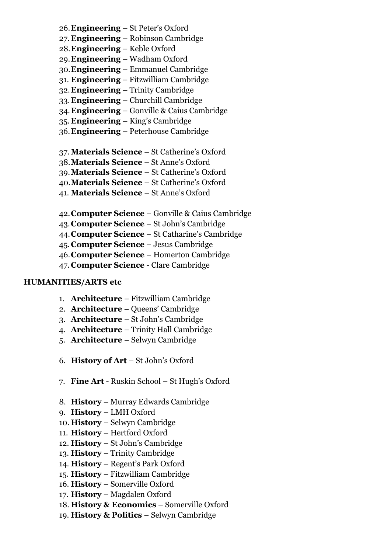- 26.**Engineering**  St Peter's Oxford
- 27. **Engineering**  Robinson Cambridge
- 28.**Engineering** Keble Oxford
- 29.**Engineering**  Wadham Oxford
- 30.**Engineering**  Emmanuel Cambridge
- 31. **Engineering** Fitzwilliam Cambridge
- 32.**Engineering**  Trinity Cambridge
- 33.**Engineering**  Churchill Cambridge
- 34.**Engineering**  Gonville & Caius Cambridge
- 35. **Engineering**  King's Cambridge
- 36.**Engineering**  Peterhouse Cambridge
- 37. **Materials Science** St Catherine's Oxford
- 38.**Materials Science** St Anne's Oxford
- 39.**Materials Science**  St Catherine's Oxford
- 40.**Materials Science**  St Catherine's Oxford
- 41. **Materials Science**  St Anne's Oxford
- 42.**Computer Science** Gonville & Caius Cambridge
- 43.**Computer Science** St John's Cambridge
- 44.**Computer Science** St Catharine's Cambridge
- 45.**Computer Science** Jesus Cambridge
- 46.**Computer Science** Homerton Cambridge
- 47. **Computer Science** Clare Cambridge

## **HUMANITIES/ARTS etc**

- 1. **Architecture**  Fitzwilliam Cambridge
- 2. **Architecture** Queens' Cambridge
- 3. **Architecture**  St John's Cambridge
- 4. **Architecture**  Trinity Hall Cambridge
- 5. **Architecture**  Selwyn Cambridge
- 6. **History of Art** St John's Oxford
- 7. **Fine Art** Ruskin School St Hugh's Oxford
- 8. **History** Murray Edwards Cambridge
- 9. **History**  LMH Oxford
- 10. **History**  Selwyn Cambridge
- 11. **History** Hertford Oxford
- 12. **History**  St John's Cambridge
- 13. **History** Trinity Cambridge
- 14. **History**  Regent's Park Oxford
- 15. **History**  Fitzwilliam Cambridge
- 16. **History**  Somerville Oxford
- 17. **History**  Magdalen Oxford
- 18. **History & Economics** Somerville Oxford
- 19. **History & Politics** Selwyn Cambridge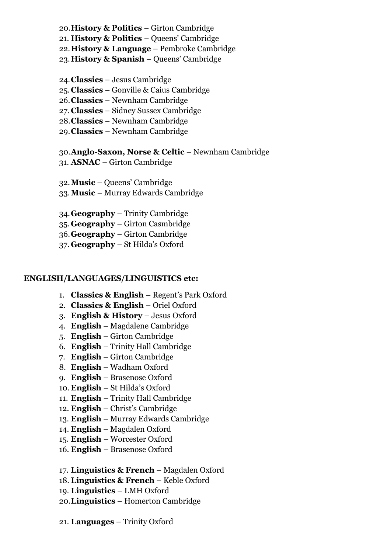- 20.**History & Politics** Girton Cambridge
- 21. **History & Politics**  Queens' Cambridge
- 22.**History & Language** Pembroke Cambridge
- 23.**History & Spanish** Queens' Cambridge
- 24.**Classics** Jesus Cambridge
- 25.**Classics** Gonville & Caius Cambridge
- 26.**Classics** Newnham Cambridge
- 27. **Classics** Sidney Sussex Cambridge
- 28.**Classics** Newnham Cambridge
- 29.**Classics**  Newnham Cambridge

### 30.**Anglo-Saxon, Norse & Celtic** – Newnham Cambridge

31. **ASNAC** – Girton Cambridge

32.**Music** – Queens' Cambridge

- 33.**Music**  Murray Edwards Cambridge
- 34.**Geography** Trinity Cambridge
- 35. **Geography**  Girton Casmbridge
- 36.**Geography**  Girton Cambridge
- 37. **Geography** St Hilda's Oxford

### **ENGLISH/LANGUAGES/LINGUISTICS etc:**

- 1. **Classics & English** Regent's Park Oxford
- 2. **Classics & English** Oriel Oxford
- 3. **English & History** Jesus Oxford
- 4. **English** Magdalene Cambridge
- 5. **English** Girton Cambridge
- 6. **English** Trinity Hall Cambridge
- 7. **English** Girton Cambridge
- 8. **English** Wadham Oxford
- 9. **English** Brasenose Oxford
- 10. **English**  St Hilda's Oxford
- 11. **English**  Trinity Hall Cambridge
- 12. **English** Christ's Cambridge
- 13. **English** Murray Edwards Cambridge
- 14. **English** Magdalen Oxford
- 15. **English**  Worcester Oxford
- 16. **English**  Brasenose Oxford
- 17. **Linguistics & French** Magdalen Oxford
- 18. **Linguistics & French** Keble Oxford
- 19. **Linguistics**  LMH Oxford
- 20.**Linguistics** Homerton Cambridge
- 21. **Languages**  Trinity Oxford